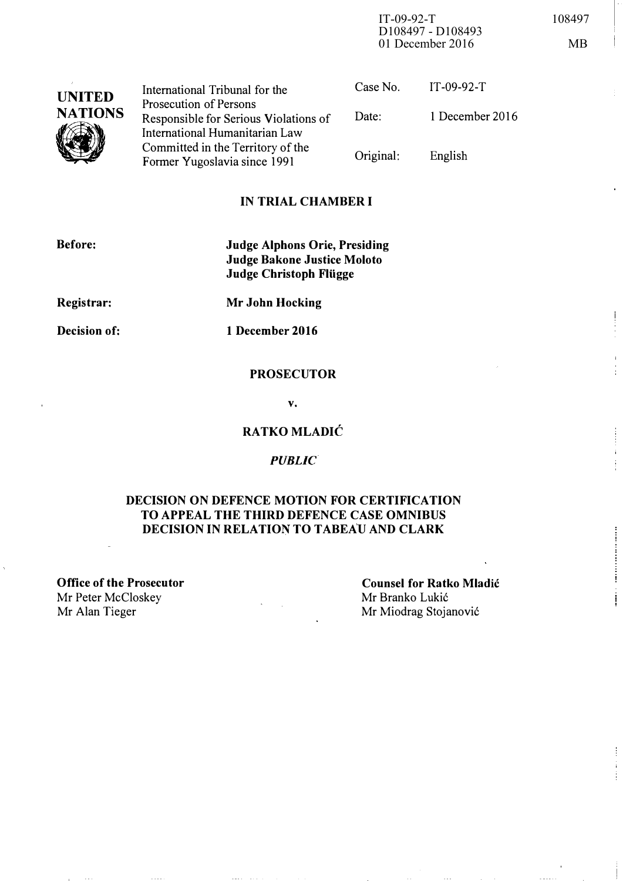IT-09-92-T 108497 D108497 - D108493 01 December 2016 MB

| <b>UNITED</b>  | International Tribunal for the                                    | Case No.  | $IT-09-92-T$    |
|----------------|-------------------------------------------------------------------|-----------|-----------------|
| <b>NATIONS</b> | Prosecution of Persons<br>Responsible for Serious Violations of   | Date:     | 1 December 2016 |
|                | International Humanitarian Law                                    |           |                 |
|                | Committed in the Territory of the<br>Former Yugoslavia since 1991 | Original: | English         |

### IN TRIAL CHAMBER I

| Before:             | <b>Judge Alphons Orie, Presiding</b><br><b>Judge Bakone Justice Moloto</b><br><b>Judge Christoph Flügge</b> |  |
|---------------------|-------------------------------------------------------------------------------------------------------------|--|
| Registrar:          | <b>Mr John Hocking</b>                                                                                      |  |
| <b>Decision of:</b> | 1 December 2016                                                                                             |  |

#### **PROSECUTOR**

v.

### RATKO MLADIC

#### PUBLIC

### DECISION ON DEFENCE MOTION FOR CERTIFICATION TO APPEAL THE THIRD DEFENCE CASE OMNIBUS DECISION IN RELATION TO TABEAU AND CLARK

Office of the Prosecutor Mr Peter McCloskey<br>Mr Alan Tieger

Counsel for Ratko Mladic Mr Branko Lukić Mr Miodrag Stojanović

 $\mathsf I$ 

ŧ

Ť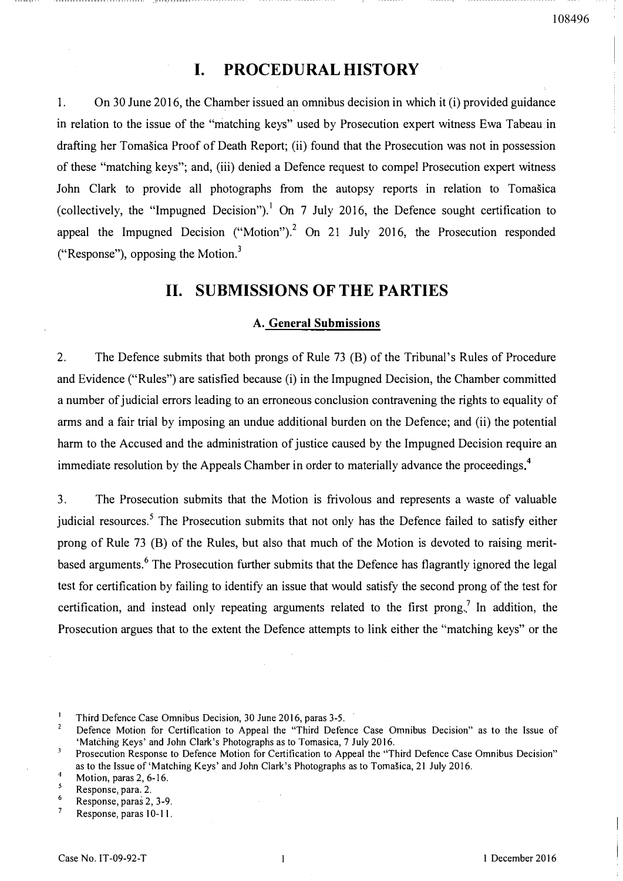# I. PROCEDURAL HISTORY

1. On 30 June 2016, the Chamber issued an omnibus decision in which it (i) provided guidance in relation to the issue of the "matching keys" used by Prosecution expert witness Ewa Tabeau.in drafting her Tomasica Proof of Death Report; (ii) found that the Prosecution was not in possession of these "matching keys"; and, (iii) denied a Defence request to compel Prosecution expert witness John Clark to provide all photographs from the autopsy reports in relation to Tomasica (collectively, the "Impugned Decision").<sup>1</sup> On 7 July 2016, the Defence sought certification to appeal the Impugned Decision ("Motion").<sup>2</sup> On 21 July 2016, the Prosecution responded ("Response"), opposing the Motion.<sup>3</sup>

## 11. SUBMISSIONS OF THE PARTIES

#### A. General Submissions

2. The Defence submits that both prongs of Rule 73 (8) of the Tribunal's Rules of Procedure and Evidence ("Rules") are satisfied because (i) in the Impugned Decision, the Chamber committed a number of judicial errors leading to an erroneous conclusion contravening the rights to equality of arms and a fair trial by imposing an undue additional burden on the Defence; and (ii) the potential harm to the Accused and the administration of justice caused by the Impugned Decision require an immediate resolution by the Appeals Chamber in order to materially advance the proceedings.<sup>4</sup>

3. The Prosecution submits that the Motion is frivolous and represents a waste of valuable judicial resources.<sup>5</sup> The Prosecution submits that not only has the Defence failed to satisfy either prong of Rule 73 (8) of the Rules, but also that much of the Motion is devoted to raising meritbased arguments.<sup>6</sup> The Prosecution further submits that the Defence has flagrantly ignored the legal test for certification by failing to identify an issue that would satisfy the second prong of the test for certification, and instead only repeating arguments related to the first prong.<sup>7</sup> In addition, the Prosecution argues that to the extent the Defence attempts to link either the "matching keys" or the

 $\mathbf{I}$ Third Defence Case Omnibus Decision, 30 June 2016, paras 3-5.

 $\mathbf 2$ Defence Motion for Certification to Appeal the "Third Defence Case Omnibus Decision" as to the Issue of 'Matching Keys' and John Clark's Photographs as to Tomasica, 7 July 2016.

 $\sqrt{3}$ Prosecution Response to Defence Motion for Certification to Appeal the "Third Defence Case Omnibus Decision" as to the Issue of 'Matching Keys' and John Clark's Photographs as to Tomašica, 21 July 2016.  $\overline{4}$ 

<sup>5</sup>  Motion, paras 2, 6-16.

<sup>6</sup>  Response, para. 2.

Response, paras 2, 3-9.  $\overline{7}$ 

Response, paras 10-11.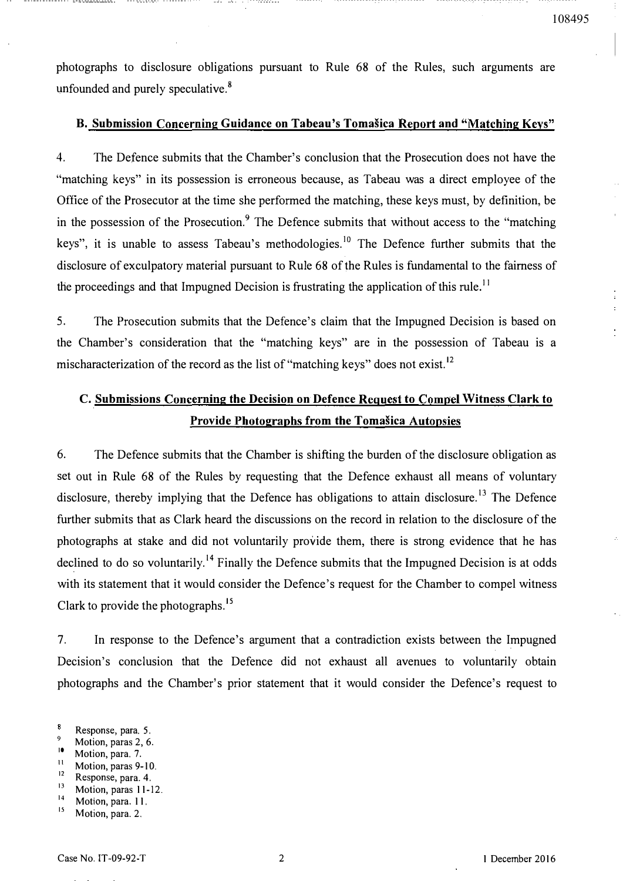$\frac{1}{4}$ 

photographs to disclosure obligations pursuant to Rule 68 of the Rules, such arguments are unfounded and purely speculative. $8$ 

## B. Submission Concerning Guidance on Tabeau's Tomasica Report and "Matching Keys"

4. The Defence submits that the Chamber's conclusion that the Prosecution does not have the "matching keys" in its possession is erroneous because, as Tabeau was a direct employee of the Office of the Prosecutor at the time she performed the matching, these keys must, by definition, be in the possession of the Prosecution.<sup>9</sup> The Defence submits that without access to the "matching" keys", it is unable to assess Tabeau's methodologies.<sup>10</sup> The Defence further submits that the disclosure of exculpatory material pursuant to Rule 68 of the Rules is fundamental to the fairness of the proceedings and that Impugned Decision is frustrating the application of this rule.<sup>11</sup>

5. The Prosecution submits that the Defence's claim that the Impugned Decision is based on the Chamber's consideration that the "matching keys" are in the possession of Tabeau is a mischaracterization of the record as the list of "matching keys" does not exist.<sup>12</sup>

# C. Submissions Concerning the Decision on Defence Request to Compel Witness Clark to Provide Photographs from the Tomašica Autopsies

6. The Defence submits that the Chamber is shifting the burden of the disclosure obligation as set out in Rule 68 of the Rules by requesting that the Defence exhaust all means of voluntary disclosure, thereby implying that the Defence has obligations to attain disclosure.<sup>13</sup> The Defence further submits that as Clark heard the discussions on the record in relation to the disclosure of the photographs at stake and did not voluntarily provide them, there is strong evidence that he has declined to do so voluntarily.<sup>14</sup> Finally the Defence submits that the Impugned Decision is at odds with its statement that it would consider the Defence's request for the Chamber to compel witness Clark to provide the photographs.<sup>15</sup>

7. In response to the Defence's argument that a contradiction exists between the Impugned Decision's conclusion that the Defence did not exhaust all avenues to voluntarily obtain photographs and the Chamber's prior statement that it would consider the Defence's request to

- $\frac{9}{10}$  Motion, paras 2, 6.
- $\frac{10}{11}$  Motion, para. 7.
- $\frac{11}{12}$  Motion, paras 9-10.
- $\frac{12}{13}$  Response, para. 4.
- Motion, paras 11-12.
- $\frac{14}{15}$ Motion, para. 11.

 $\overline{\mathbf{3}}$ Response, para. 5.

Motion, para. 2.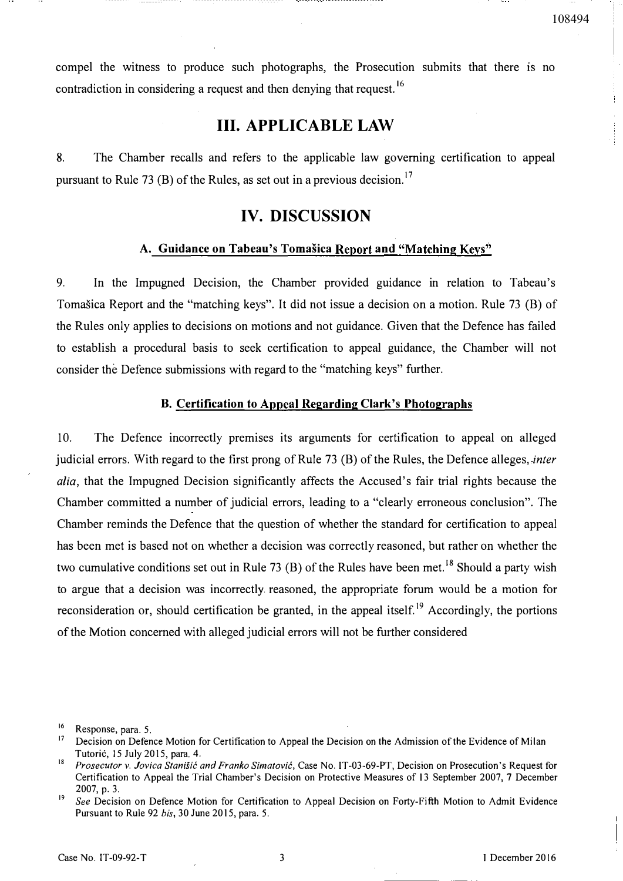compel the witness to produce such photographs, the Prosecution submits that there is no contradiction in considering a request and then denying that request.<sup>16</sup>

# Ill. APPLICABLE LAW

8. The Chamber recalls and refers to the applicable law governing certification to appeal pursuant to Rule 73 (B) of the Rules, as set out in a previous decision.<sup>17</sup>

# IV. DISCUSSION

### A. Guidance on Tabeau's Tomašica Report and "Matching Keys"

9. In the Impugned Decision, the Chamber provided guidance in relation to Tabeau's Tomasica Report and the "matching keys". It did not issue a decision on a motion. Rule 73 (B) of the Rules only applies to decisions on motions and not guidance. Given that the Defence has failed to establish a procedural basis to seek certification to appeal guidance, the Chamber will not consider the Defence submissions with regard to the "matching keys" further.

### B. Certification to Appeal Regarding Clark's Photographs

10. The Defence incorrectly premises its arguments for certification to appeal on alleged judicial errors. With regard to the first prong of Rule 73 (B) of the Rules, the Defence alleges, inter alia, that the Impugned Decision significantly affects the Accused's fair trial rights because the Chamber committed a number of judicial errors, leading to a "clearly erroneous conclusion". The Chamber reminds the Defence that the question of whether the standard for certification to appeal has been met is based not on whether a decision was correctly reasoned, but rather on whether the two cumulative conditions set out in Rule 73 (B) of the Rules have been met.<sup>18</sup> Should a party wish to argue that a decision was incorrectly reasoned, the appropriate forum would be a motion for reconsideration or, should certification be granted, in the appeal itself.<sup>19</sup> Accordingly, the portions of the Motion concerned with alleged judicial errors will not be further considered

108494

 $^{16}$  Response, para. 5.

Decision on Defence Motion for Certification to Appeal the Decision on the Admission of the Evidence of Milan Tutorić, 15 July 2015, para. 4.

<sup>&</sup>lt;sup>18</sup> Prosecutor v. Jovica Stanisić and Franko Simatović, Case No. IT-03-69-PT, Decision on Prosecution's Request for Certification to Appeal the Trial Chamber's Decision on Protective Measures of 13 September 2007,7 December 2007, p. 3.

<sup>&</sup>lt;sup>19</sup> See Decision on Defence Motion for Certification to Appeal Decision on Forty-Fifth Motion to Admit Evidence Pursuant to Rule 92 bis, 30 June 2015, para. 5.